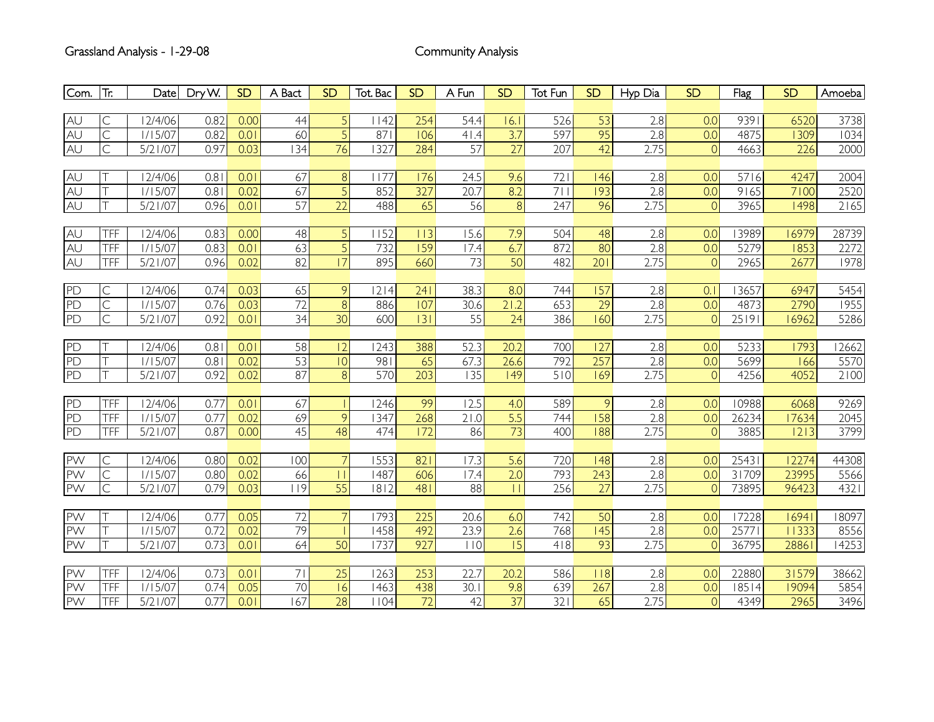| Com.            | $ \text{Tr}$            | Date        | Dry W. | SD   | A Bact | <b>SD</b>       | Tot. Bac          | SD               | A Fun           | <b>SD</b>        | Tot Fun | <b>SD</b>        | Hyp Dia          | <b>SD</b>      | Flag  | <b>SD</b> | Amoeba |
|-----------------|-------------------------|-------------|--------|------|--------|-----------------|-------------------|------------------|-----------------|------------------|---------|------------------|------------------|----------------|-------|-----------|--------|
|                 |                         |             |        |      |        |                 |                   |                  |                 |                  |         |                  |                  |                |       |           |        |
| AU              | $\mathsf{C}$            | 12/4/06     | 0.82   | 0.00 | 44     | $\overline{5}$  | 1142              | 254              | 54.4            | 16.I             | 526     | 53               | 2.8              | 0.0            | 9391  | 6520      | 3738   |
|                 | $\overline{\mathsf{C}}$ | 1/15/07     | 0.82   | 0.01 | 60     | $\overline{5}$  | 871               | 106              | 41.4            | 3.7              | 597     | $\overline{95}$  | 2.8              | 0.0            | 4875  | 1309      | 1034   |
| AU<br>AU        | $\overline{\subset}$    | 5/21/07     | 0.97   | 0.03 | 34     | 76              | 1327              | 284              | $\overline{57}$ | 27               | 207     | $\overline{42}$  | 2.75             | 0              | 4663  | 226       | 2000   |
|                 |                         |             |        |      |        |                 |                   |                  |                 |                  |         |                  |                  |                |       |           |        |
| AU<br>AU<br>AU  |                         | 12/4/06     | 0.81   | 0.01 | 67     | $\bf{8}$        | 1177              | 176              | 24.5            | 9.6              | 721     | 146              | 2.8              | 0.0            | 5716  | 4247      | 2004   |
|                 |                         | 1/15/07     | 0.81   | 0.02 | 67     | $\overline{5}$  | 852               | 327              | 20.7            | 8.2              | 711     | 193              | 2.8              | 0.0            | 9165  | 7100      | 2520   |
|                 |                         | 5/21/07     | 0.96   | 0.01 | 57     | $\overline{22}$ | 488               | 65               | 56              | $\overline{8}$   | 247     | 96               | 2.75             | $\overline{0}$ | 3965  | 1498      | 2165   |
|                 |                         |             |        |      |        |                 |                   |                  |                 |                  |         |                  |                  |                |       |           |        |
|                 | TFF                     | 12/4/06     | 0.83   | 0.00 | 48     | 5 <sub>l</sub>  | 152               | 113              | 15.6            | 7.9              | 504     | 48               | 2.8              | 0.0            | 3989  | 16979     | 28739  |
|                 | <b>TFF</b>              | 1/15/07     | 0.83   | 0.01 | 63     | $\overline{5}$  | 732               | 159              | 7.4             | 6.7              | 872     | 80               | 2.8              | 0.0            | 5279  | 1853      | 2272   |
| AU<br>AU<br>AU  | <b>TFF</b>              | 5/21/07     | 0.96   | 0.02 | 82     | $\overline{17}$ | 895               | 660              | 73              | 50               | 482     | 201              | 2.75             | $\overline{0}$ | 2965  | 2677      | 1978   |
|                 |                         |             |        |      |        |                 |                   |                  |                 |                  |         |                  |                  |                |       |           |        |
|                 | $\mathsf{C}$            | 12/4/06     | 0.74   | 0.03 | 65     | 9 <sup>1</sup>  | 2 4               | 241              | 38.3            | 8.0              | 744     | 157              | 2.8              | 0.1            | 13657 | 6947      | 5454   |
|                 | $\overline{C}$          | 1/15/07     | 0.76   | 0.03 | 72     | $\overline{8}$  | 886               | 107              | 30.6            | 21.2             | 653     | 29               | 2.8              | 0.0            | 4873  | 2790      | 1955   |
| $\frac{PD}{PD}$ | $\mathsf{C}$            | 5/21/07     | 0.92   | 0.01 | 34     | 30              | 600               | 3                | $\overline{55}$ | $\overline{24}$  | 386     | 160              | 2.75             | $\overline{0}$ | 25191 | 16962     | 5286   |
|                 |                         |             |        |      |        |                 |                   |                  |                 |                  |         |                  |                  |                |       |           |        |
| PD              |                         | 12/4/06     | 0.81   | 0.01 | 58     | 2               | 1243              | 388              | 52.3            | 20.2             | 700     | 127              | 2.8              | 0.0            | 5233  | 1793      | 12662  |
|                 |                         | 1/15/07     | 0.81   | 0.02 | 53     | 0               | 981               | 65               | 67.3            | 26.6             | 792     | 257              | $\overline{2.8}$ | 0.0            | 5699  | 166       | 5570   |
| la<br>la        |                         | 5/21/07     | 0.92   | 0.02 | 87     | $\infty$        | 570               | $\overline{203}$ | 35              | $\overline{149}$ | 510     | $\overline{169}$ | 2.75             | $\overline{0}$ | 4256  | 4052      | 2100   |
|                 |                         |             |        |      |        |                 |                   |                  |                 |                  |         |                  |                  |                |       |           |        |
| $\frac{PD}{PD}$ | <b>TFF</b>              | 12/4/06     | 0.77   | 0.01 | 67     |                 | 1246              | 99               | 2.5             | 4.0              | 589     | 9                | 2.8              | 0.0            | 10988 | 6068      | 9269   |
|                 | <b>TFF</b>              | 1/15/07     | 0.77   | 0.02 | 69     | $\overline{9}$  | $\overline{1347}$ | 268              | 21.0            | 5.5              | 744     | $\overline{158}$ | 2.8              | 0.0            | 26234 | 17634     | 2045   |
|                 | <b>TFF</b>              | 5/21/07     | 0.87   | 0.00 | 45     | 48              | 474               | 172              | 86              | $\overline{73}$  | 400     | $\overline{188}$ | 2.75             | $\overline{0}$ | 3885  | 2 3       | 3799   |
|                 |                         |             |        |      |        |                 |                   |                  |                 |                  |         |                  |                  |                |       |           |        |
| PW              | $\mathsf C$             | 12/4/06     | 0.80   | 0.02 | 00     | $\overline{7}$  | 1553              | 821              | 17.3            | 5.6              | 720     | 148              | 2.8              | 0.0            | 25431 | 12274     | 44308  |
| PW              | $\overline{C}$          | 1/15/07     | 0.80   | 0.02 | 66     | $\overline{11}$ | 1487              | 606              | 7.4             | $\overline{2.0}$ | 793     | 243              | 2.8              | 0.0            | 31709 | 23995     | 5566   |
| PW              | $\overline{C}$          | 5/21/07     | 0.79   | 0.03 | 9      | $\overline{55}$ | 1812              | 481              | 88              |                  | 256     | 27               | 2.75             | $\overline{0}$ | 73895 | 96423     | 4321   |
|                 |                         |             |        |      |        |                 |                   |                  |                 |                  |         |                  |                  |                |       |           |        |
| PW              |                         | 12/4/06     | 0.77   | 0.05 | 72     | $\overline{7}$  | 1793              | 225              | 20.6            | 6.0              | 742     | 50               | 2.8              | 0.0            | 17228 | 16941     | 18097  |
| <b>PVV</b>      |                         | 1/15/07     | 0.72   | 0.02 | 79     |                 | 1458              | 492              | 23.9            | 2.6              | 768     | $\overline{145}$ | $\overline{2.8}$ | 0.0            | 25771 | 11333     | 8556   |
| PW              |                         | 5/21/07     | 0.73   | 0.01 | 64     | 50              | 1737              | 927              | 110             | $\overline{15}$  | 418     | 93               | 2.75             | $\overline{0}$ | 36795 | 28861     | 14253  |
|                 |                         |             |        |      |        |                 |                   |                  |                 |                  |         |                  |                  |                |       |           |        |
| PW              | TFF                     | 12/4/06     | 0.73   | 0.01 | 71     | 25              | 1263              | 253              | 22.7            | 20.2             | 586     | 118              | 2.8              | 0.0            | 22880 | 31579     | 38662  |
| PW              | TFF                     | 1/15/07     | 0.74   | 0.05 | 70     | 6               | 1463              | 438              | 30.1            | 9.8              | 639     | 267              | 2.8              | 0.0            | 18514 | 19094     | 5854   |
| PW              | TFF                     | $5/2$   /07 | 0.77   | 0.01 | 67     | $\overline{28}$ | 1104              | 72               | 42              | $\overline{37}$  | 321     | 65               | 2.75             | $\overline{0}$ | 4349  | 2965      | 3496   |